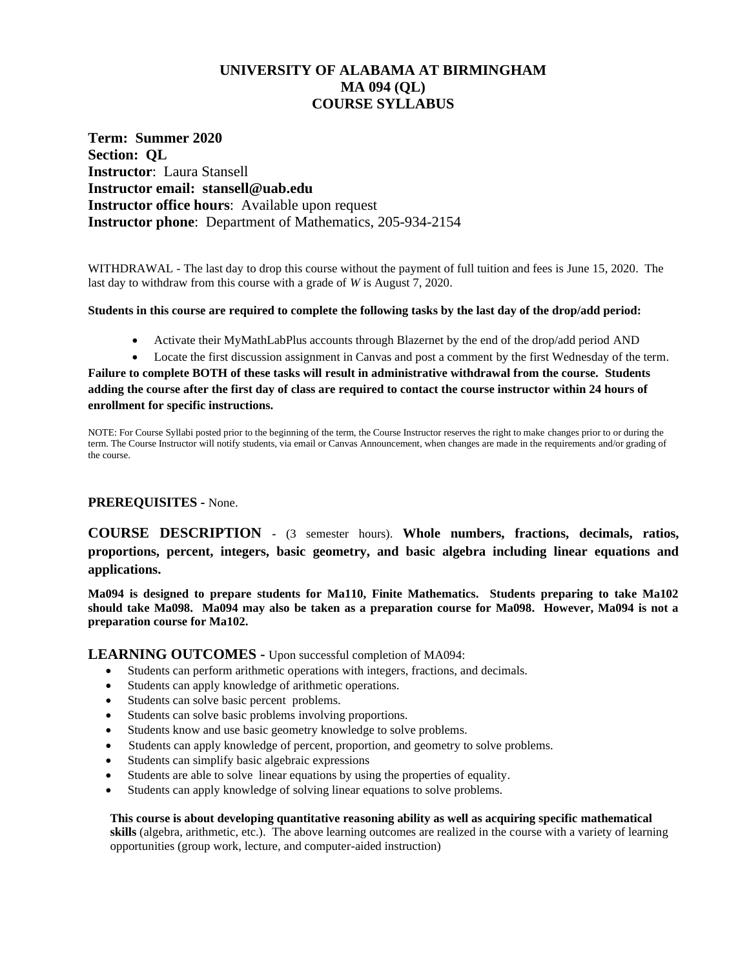# **UNIVERSITY OF ALABAMA AT BIRMINGHAM MA 094 (QL) COURSE SYLLABUS**

**Term: Summer 2020 Section: QL Instructor**: Laura Stansell **Instructor email: stansell@uab.edu Instructor office hours**: Available upon request **Instructor phone**: Department of Mathematics, 205-934-2154

WITHDRAWAL - The last day to drop this course without the payment of full tuition and fees is June 15, 2020. The last day to withdraw from this course with a grade of *W* is August 7, 2020.

#### **Students in this course are required to complete the following tasks by the last day of the drop/add period:**

- Activate their MyMathLabPlus accounts through Blazernet by the end of the drop/add period AND
- Locate the first discussion assignment in Canvas and post a comment by the first Wednesday of the term.

**Failure to complete BOTH of these tasks will result in administrative withdrawal from the course. Students adding the course after the first day of class are required to contact the course instructor within 24 hours of enrollment for specific instructions.**

NOTE: For Course Syllabi posted prior to the beginning of the term, the Course Instructor reserves the right to make changes prior to or during the term. The Course Instructor will notify students, via email or Canvas Announcement, when changes are made in the requirements and/or grading of the course.

#### **PREREQUISITES -** None.

**COURSE DESCRIPTION -** (3 semester hours). **Whole numbers, fractions, decimals, ratios, proportions, percent, integers, basic geometry, and basic algebra including linear equations and applications.** 

**Ma094 is designed to prepare students for Ma110, Finite Mathematics. Students preparing to take Ma102 should take Ma098. Ma094 may also be taken as a preparation course for Ma098. However, Ma094 is not a preparation course for Ma102.**

**LEARNING OUTCOMES -** Upon successful completion of MA094:

- Students can perform arithmetic operations with integers, fractions, and decimals.
- Students can apply knowledge of arithmetic operations.
- Students can solve basic percent problems.
- Students can solve basic problems involving proportions.
- Students know and use basic geometry knowledge to solve problems.
- Students can apply knowledge of percent, proportion, and geometry to solve problems.
- Students can simplify basic algebraic expressions
- Students are able to solve linear equations by using the properties of equality.
- Students can apply knowledge of solving linear equations to solve problems.

#### **This course is about developing quantitative reasoning ability as well as acquiring specific mathematical**

**skills** (algebra, arithmetic, etc.). The above learning outcomes are realized in the course with a variety of learning opportunities (group work, lecture, and computer-aided instruction)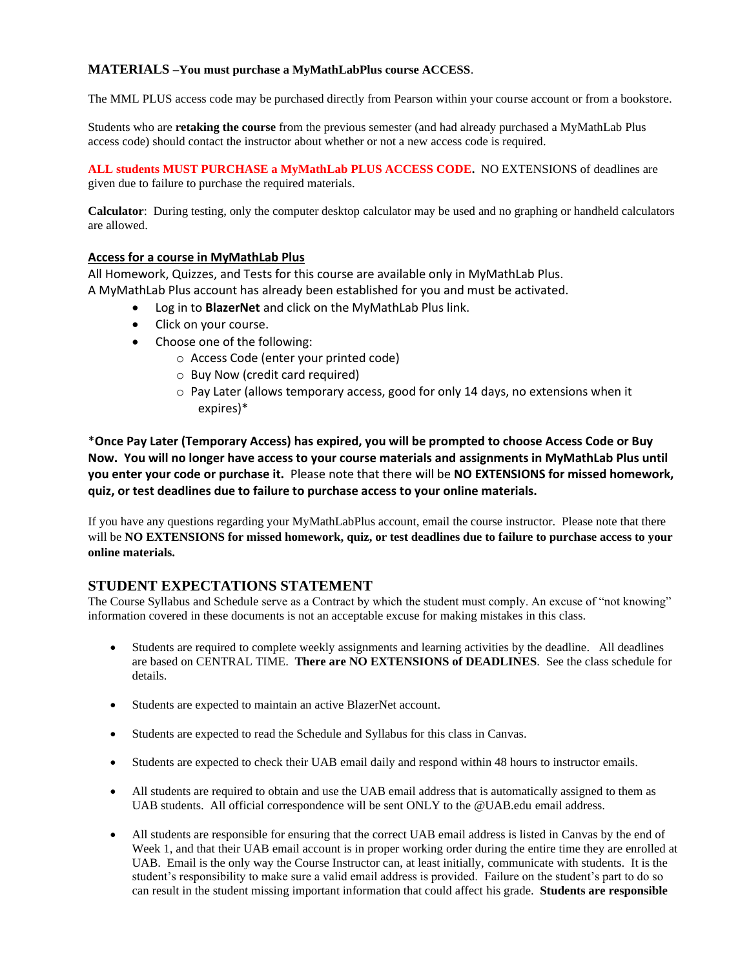### **MATERIALS –You must purchase a MyMathLabPlus course ACCESS**.

The MML PLUS access code may be purchased directly from Pearson within your course account or from a bookstore.

Students who are **retaking the course** from the previous semester (and had already purchased a MyMathLab Plus access code) should contact the instructor about whether or not a new access code is required.

**ALL students MUST PURCHASE a MyMathLab PLUS ACCESS CODE.** NO EXTENSIONS of deadlines are given due to failure to purchase the required materials.

**Calculator**: During testing, only the computer desktop calculator may be used and no graphing or handheld calculators are allowed.

#### **Access for a course in MyMathLab Plus**

All Homework, Quizzes, and Tests for this course are available only in MyMathLab Plus. A MyMathLab Plus account has already been established for you and must be activated.

- Log in to **BlazerNet** and click on the MyMathLab Plus link.
- Click on your course.
- Choose one of the following:
	- o Access Code (enter your printed code)
	- o Buy Now (credit card required)
	- $\circ$  Pay Later (allows temporary access, good for only 14 days, no extensions when it expires)\*

\***Once Pay Later (Temporary Access) has expired, you will be prompted to choose Access Code or Buy Now. You will no longer have access to your course materials and assignments in MyMathLab Plus until you enter your code or purchase it.** Please note that there will be **NO EXTENSIONS for missed homework, quiz, or test deadlines due to failure to purchase access to your online materials.**

If you have any questions regarding your MyMathLabPlus account, email the course instructor. Please note that there will be **NO EXTENSIONS for missed homework, quiz, or test deadlines due to failure to purchase access to your online materials.**

### **STUDENT EXPECTATIONS STATEMENT**

The Course Syllabus and Schedule serve as a Contract by which the student must comply. An excuse of "not knowing" information covered in these documents is not an acceptable excuse for making mistakes in this class.

- Students are required to complete weekly assignments and learning activities by the deadline. All deadlines are based on CENTRAL TIME. **There are NO EXTENSIONS of DEADLINES**. See the class schedule for details.
- Students are expected to maintain an active BlazerNet account.
- Students are expected to read the Schedule and Syllabus for this class in Canvas.
- Students are expected to check their UAB email daily and respond within 48 hours to instructor emails.
- All students are required to obtain and use the UAB email address that is automatically assigned to them as UAB students. All official correspondence will be sent ONLY to the @UAB.edu email address.
- All students are responsible for ensuring that the correct UAB email address is listed in Canvas by the end of Week 1, and that their UAB email account is in proper working order during the entire time they are enrolled at UAB. Email is the only way the Course Instructor can, at least initially, communicate with students. It is the student's responsibility to make sure a valid email address is provided. Failure on the student's part to do so can result in the student missing important information that could affect his grade. **Students are responsible**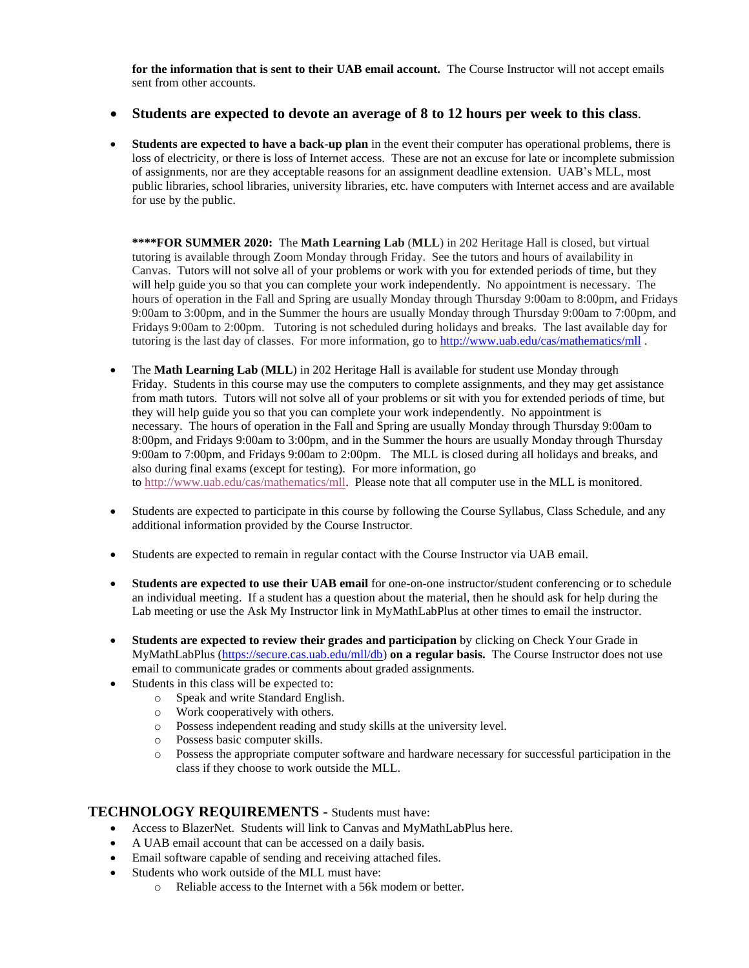**for the information that is sent to their UAB email account.** The Course Instructor will not accept emails sent from other accounts.

### • **Students are expected to devote an average of 8 to 12 hours per week to this class**.

• **Students are expected to have a back-up plan** in the event their computer has operational problems, there is loss of electricity, or there is loss of Internet access. These are not an excuse for late or incomplete submission of assignments, nor are they acceptable reasons for an assignment deadline extension. UAB's MLL, most public libraries, school libraries, university libraries, etc. have computers with Internet access and are available for use by the public.

**\*\*\*\*FOR SUMMER 2020:** The **Math Learning Lab** (**MLL**) in 202 Heritage Hall is closed, but virtual tutoring is available through Zoom Monday through Friday. See the tutors and hours of availability in Canvas. Tutors will not solve all of your problems or work with you for extended periods of time, but they will help guide you so that you can complete your work independently. No appointment is necessary. The hours of operation in the Fall and Spring are usually Monday through Thursday 9:00am to 8:00pm, and Fridays 9:00am to 3:00pm, and in the Summer the hours are usually Monday through Thursday 9:00am to 7:00pm, and Fridays 9:00am to 2:00pm. Tutoring is not scheduled during holidays and breaks. The last available day for tutoring is the last day of classes. For more information, go to <http://www.uab.edu/cas/mathematics/mll>.

- The **Math Learning Lab** (**MLL**) in 202 Heritage Hall is available for student use Monday through Friday. Students in this course may use the computers to complete assignments, and they may get assistance from math tutors. Tutors will not solve all of your problems or sit with you for extended periods of time, but they will help guide you so that you can complete your work independently. No appointment is necessary. The hours of operation in the Fall and Spring are usually Monday through Thursday 9:00am to 8:00pm, and Fridays 9:00am to 3:00pm, and in the Summer the hours are usually Monday through Thursday 9:00am to 7:00pm, and Fridays 9:00am to 2:00pm. The MLL is closed during all holidays and breaks, and also during final exams (except for testing). For more information, go to [http://www.uab.edu/cas/mathematics/mll.](http://www.uab.edu/cas/mathematics/mll) Please note that all computer use in the MLL is monitored.
- Students are expected to participate in this course by following the Course Syllabus, Class Schedule, and any additional information provided by the Course Instructor.
- Students are expected to remain in regular contact with the Course Instructor via UAB email.
- **Students are expected to use their UAB email** for one-on-one instructor/student conferencing or to schedule an individual meeting. If a student has a question about the material, then he should ask for help during the Lab meeting or use the Ask My Instructor link in MyMathLabPlus at other times to email the instructor.
- **Students are expected to review their grades and participation** by clicking on Check Your Grade in MyMathLabPlus [\(https://secure.cas.uab.edu/mll/db\)](https://secure.cas.uab.edu/mll/db) **on a regular basis.** The Course Instructor does not use email to communicate grades or comments about graded assignments.
- Students in this class will be expected to:
	- o Speak and write Standard English.
	- o Work cooperatively with others.
	- o Possess independent reading and study skills at the university level.
	- o Possess basic computer skills.
	- o Possess the appropriate computer software and hardware necessary for successful participation in the class if they choose to work outside the MLL.

#### **TECHNOLOGY REQUIREMENTS -** Students must have:

- Access to BlazerNet. Students will link to Canvas and MyMathLabPlus here.
- A UAB email account that can be accessed on a daily basis.
- Email software capable of sending and receiving attached files.
- Students who work outside of the MLL must have:
	- o Reliable access to the Internet with a 56k modem or better.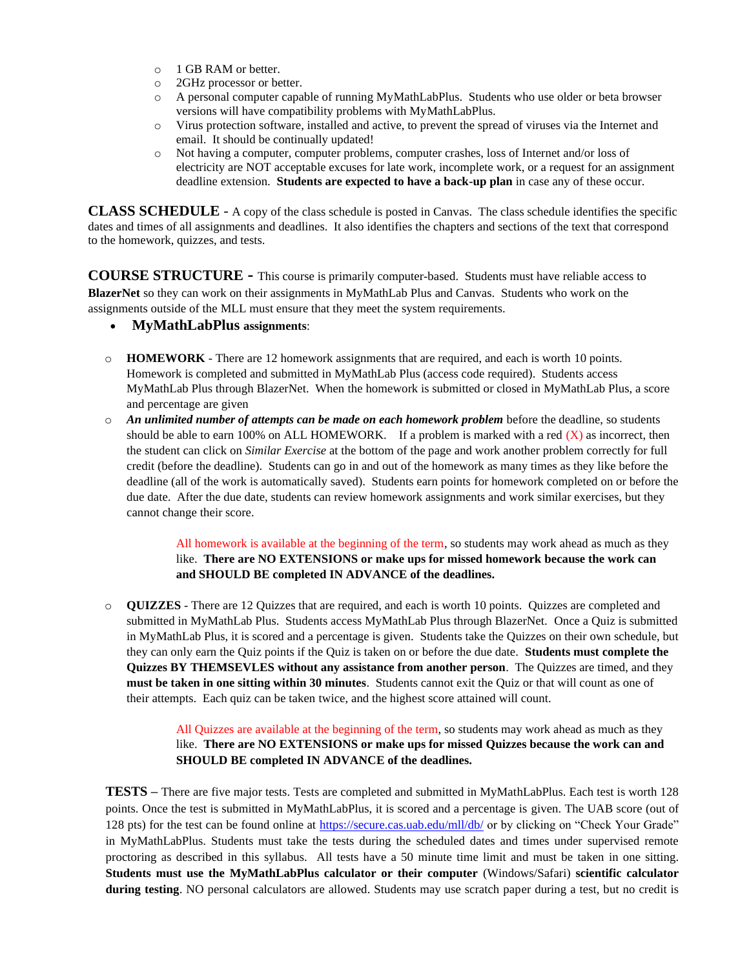- o 1 GB RAM or better.
- o 2GHz processor or better.
- o A personal computer capable of running MyMathLabPlus. Students who use older or beta browser versions will have compatibility problems with MyMathLabPlus.
- o Virus protection software, installed and active, to prevent the spread of viruses via the Internet and email. It should be continually updated!
- o Not having a computer, computer problems, computer crashes, loss of Internet and/or loss of electricity are NOT acceptable excuses for late work, incomplete work, or a request for an assignment deadline extension. **Students are expected to have a back-up plan** in case any of these occur.

**CLASS SCHEDULE** - A copy of the class schedule is posted in Canvas. The class schedule identifies the specific dates and times of all assignments and deadlines. It also identifies the chapters and sections of the text that correspond to the homework, quizzes, and tests.

**COURSE STRUCTURE -** This course is primarily computer-based. Students must have reliable access to **BlazerNet** so they can work on their assignments in MyMathLab Plus and Canvas. Students who work on the assignments outside of the MLL must ensure that they meet the system requirements.

- **MyMathLabPlus assignments**:
- o **HOMEWORK** There are 12 homework assignments that are required, and each is worth 10 points. Homework is completed and submitted in MyMathLab Plus (access code required). Students access MyMathLab Plus through BlazerNet. When the homework is submitted or closed in MyMathLab Plus, a score and percentage are given
- o *An unlimited number of attempts can be made on each homework problem* before the deadline, so students should be able to earn 100% on ALL HOMEWORK. If a problem is marked with a red  $(X)$  as incorrect, then the student can click on *Similar Exercise* at the bottom of the page and work another problem correctly for full credit (before the deadline). Students can go in and out of the homework as many times as they like before the deadline (all of the work is automatically saved). Students earn points for homework completed on or before the due date. After the due date, students can review homework assignments and work similar exercises, but they cannot change their score.

All homework is available at the beginning of the term, so students may work ahead as much as they like. **There are NO EXTENSIONS or make ups for missed homework because the work can and SHOULD BE completed IN ADVANCE of the deadlines.**

o **QUIZZES** - There are 12 Quizzes that are required, and each is worth 10 points. Quizzes are completed and submitted in MyMathLab Plus. Students access MyMathLab Plus through BlazerNet. Once a Quiz is submitted in MyMathLab Plus, it is scored and a percentage is given. Students take the Quizzes on their own schedule, but they can only earn the Quiz points if the Quiz is taken on or before the due date. **Students must complete the Quizzes BY THEMSEVLES without any assistance from another person**. The Quizzes are timed, and they **must be taken in one sitting within 30 minutes**. Students cannot exit the Quiz or that will count as one of their attempts. Each quiz can be taken twice, and the highest score attained will count.

> All Quizzes are available at the beginning of the term, so students may work ahead as much as they like. **There are NO EXTENSIONS or make ups for missed Quizzes because the work can and SHOULD BE completed IN ADVANCE of the deadlines.**

**TESTS –** There are five major tests. Tests are completed and submitted in MyMathLabPlus. Each test is worth 128 points. Once the test is submitted in MyMathLabPlus, it is scored and a percentage is given. The UAB score (out of 128 pts) for the test can be found online at<https://secure.cas.uab.edu/mll/db/> or by clicking on "Check Your Grade" in MyMathLabPlus. Students must take the tests during the scheduled dates and times under supervised remote proctoring as described in this syllabus. All tests have a 50 minute time limit and must be taken in one sitting. **Students must use the MyMathLabPlus calculator or their computer** (Windows/Safari) **scientific calculator during testing**. NO personal calculators are allowed. Students may use scratch paper during a test, but no credit is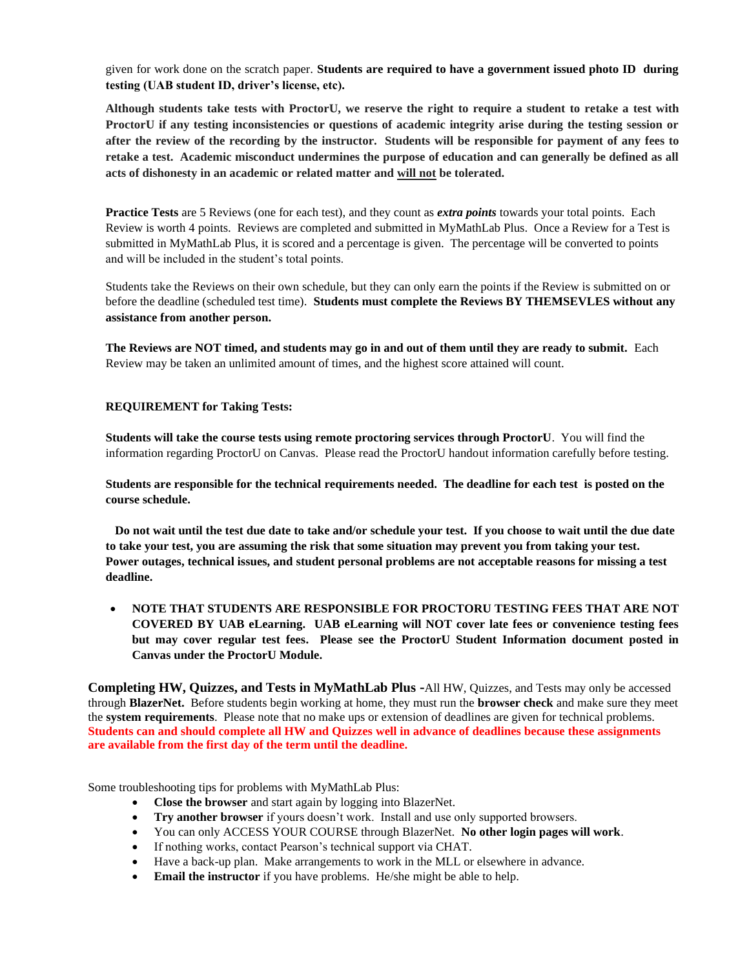given for work done on the scratch paper. **Students are required to have a government issued photo ID during testing (UAB student ID, driver's license, etc).**

**Although students take tests with ProctorU, we reserve the right to require a student to retake a test with ProctorU if any testing inconsistencies or questions of academic integrity arise during the testing session or after the review of the recording by the instructor. Students will be responsible for payment of any fees to retake a test. Academic misconduct undermines the purpose of education and can generally be defined as all acts of dishonesty in an academic or related matter and will not be tolerated.**

**Practice Tests** are 5 Reviews (one for each test), and they count as *extra points* towards your total points. Each Review is worth 4 points. Reviews are completed and submitted in MyMathLab Plus. Once a Review for a Test is submitted in MyMathLab Plus, it is scored and a percentage is given. The percentage will be converted to points and will be included in the student's total points.

Students take the Reviews on their own schedule, but they can only earn the points if the Review is submitted on or before the deadline (scheduled test time). **Students must complete the Reviews BY THEMSEVLES without any assistance from another person.**

**The Reviews are NOT timed, and students may go in and out of them until they are ready to submit.** Each Review may be taken an unlimited amount of times, and the highest score attained will count.

#### **REQUIREMENT for Taking Tests:**

**Students will take the course tests using remote proctoring services through ProctorU**. You will find the information regarding ProctorU on Canvas. Please read the ProctorU handout information carefully before testing.

**Students are responsible for the technical requirements needed. The deadline for each test is posted on the course schedule.**

 **Do not wait until the test due date to take and/or schedule your test. If you choose to wait until the due date to take your test, you are assuming the risk that some situation may prevent you from taking your test. Power outages, technical issues, and student personal problems are not acceptable reasons for missing a test deadline.**

• **NOTE THAT STUDENTS ARE RESPONSIBLE FOR PROCTORU TESTING FEES THAT ARE NOT COVERED BY UAB eLearning. UAB eLearning will NOT cover late fees or convenience testing fees but may cover regular test fees. Please see the ProctorU Student Information document posted in Canvas under the ProctorU Module.**

**Completing HW, Quizzes, and Tests in MyMathLab Plus -**All HW, Quizzes, and Tests may only be accessed through **BlazerNet.** Before students begin working at home, they must run the **browser check** and make sure they meet the **system requirements**. Please note that no make ups or extension of deadlines are given for technical problems. **Students can and should complete all HW and Quizzes well in advance of deadlines because these assignments are available from the first day of the term until the deadline.**

Some troubleshooting tips for problems with MyMathLab Plus:

- **Close the browser** and start again by logging into BlazerNet.
- **Try another browser** if yours doesn't work. Install and use only supported browsers.
- You can only ACCESS YOUR COURSE through BlazerNet. **No other login pages will work**.
- If nothing works, contact Pearson's technical support via CHAT.
- Have a back-up plan. Make arrangements to work in the MLL or elsewhere in advance.
- **Email the instructor** if you have problems. He/she might be able to help.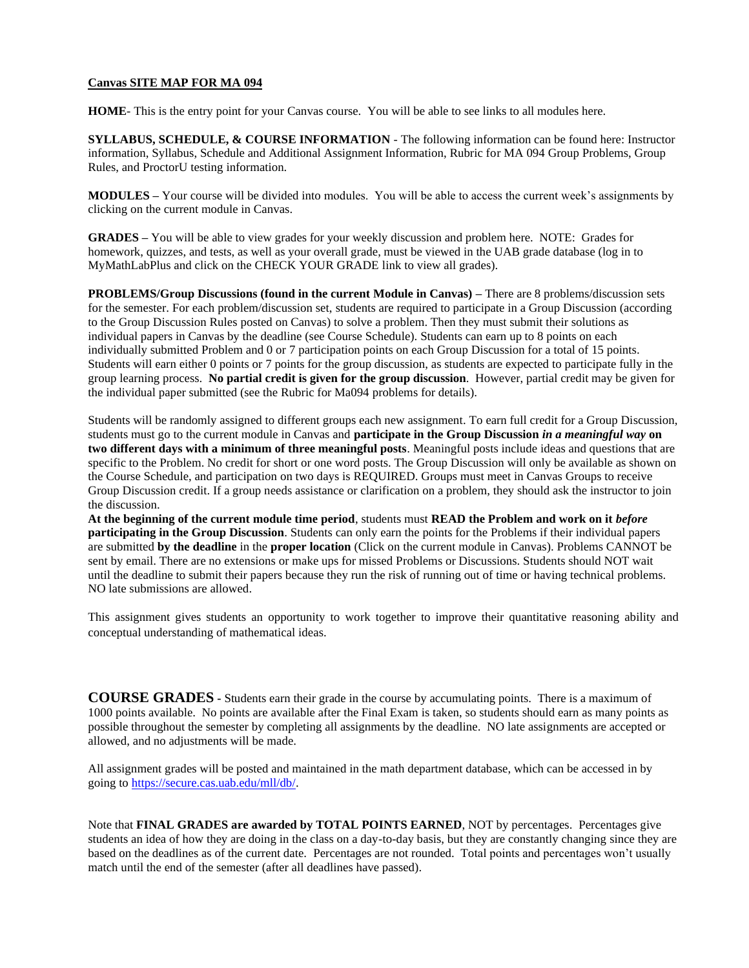#### **Canvas SITE MAP FOR MA 094**

**HOME**- This is the entry point for your Canvas course. You will be able to see links to all modules here.

**SYLLABUS, SCHEDULE, & COURSE INFORMATION** - The following information can be found here: Instructor information, Syllabus, Schedule and Additional Assignment Information, Rubric for MA 094 Group Problems, Group Rules, and ProctorU testing information.

**MODULES –** Your course will be divided into modules. You will be able to access the current week's assignments by clicking on the current module in Canvas.

**GRADES –** You will be able to view grades for your weekly discussion and problem here. NOTE: Grades for homework, quizzes, and tests, as well as your overall grade, must be viewed in the UAB grade database (log in to MyMathLabPlus and click on the CHECK YOUR GRADE link to view all grades).

**PROBLEMS/Group Discussions (found in the current Module in Canvas) –** There are 8 problems/discussion sets for the semester. For each problem/discussion set, students are required to participate in a Group Discussion (according to the Group Discussion Rules posted on Canvas) to solve a problem. Then they must submit their solutions as individual papers in Canvas by the deadline (see Course Schedule). Students can earn up to 8 points on each individually submitted Problem and 0 or 7 participation points on each Group Discussion for a total of 15 points. Students will earn either 0 points or 7 points for the group discussion, as students are expected to participate fully in the group learning process. **No partial credit is given for the group discussion**. However, partial credit may be given for the individual paper submitted (see the Rubric for Ma094 problems for details).

Students will be randomly assigned to different groups each new assignment. To earn full credit for a Group Discussion, students must go to the current module in Canvas and **participate in the Group Discussion** *in a meaningful way* **on two different days with a minimum of three meaningful posts**. Meaningful posts include ideas and questions that are specific to the Problem. No credit for short or one word posts. The Group Discussion will only be available as shown on the Course Schedule, and participation on two days is REQUIRED. Groups must meet in Canvas Groups to receive Group Discussion credit. If a group needs assistance or clarification on a problem, they should ask the instructor to join the discussion.

**At the beginning of the current module time period**, students must **READ the Problem and work on it** *before*  **participating in the Group Discussion**. Students can only earn the points for the Problems if their individual papers are submitted **by the deadline** in the **proper location** (Click on the current module in Canvas). Problems CANNOT be sent by email. There are no extensions or make ups for missed Problems or Discussions. Students should NOT wait until the deadline to submit their papers because they run the risk of running out of time or having technical problems. NO late submissions are allowed.

This assignment gives students an opportunity to work together to improve their quantitative reasoning ability and conceptual understanding of mathematical ideas.

**COURSE GRADES -** Students earn their grade in the course by accumulating points. There is a maximum of 1000 points available. No points are available after the Final Exam is taken, so students should earn as many points as possible throughout the semester by completing all assignments by the deadline. NO late assignments are accepted or allowed, and no adjustments will be made.

All assignment grades will be posted and maintained in the math department database, which can be accessed in by going t[o https://secure.cas.uab.edu/mll/db/.](https://secure.cas.uab.edu/mll/db/)

Note that **FINAL GRADES are awarded by TOTAL POINTS EARNED**, NOT by percentages. Percentages give students an idea of how they are doing in the class on a day-to-day basis, but they are constantly changing since they are based on the deadlines as of the current date. Percentages are not rounded. Total points and percentages won't usually match until the end of the semester (after all deadlines have passed).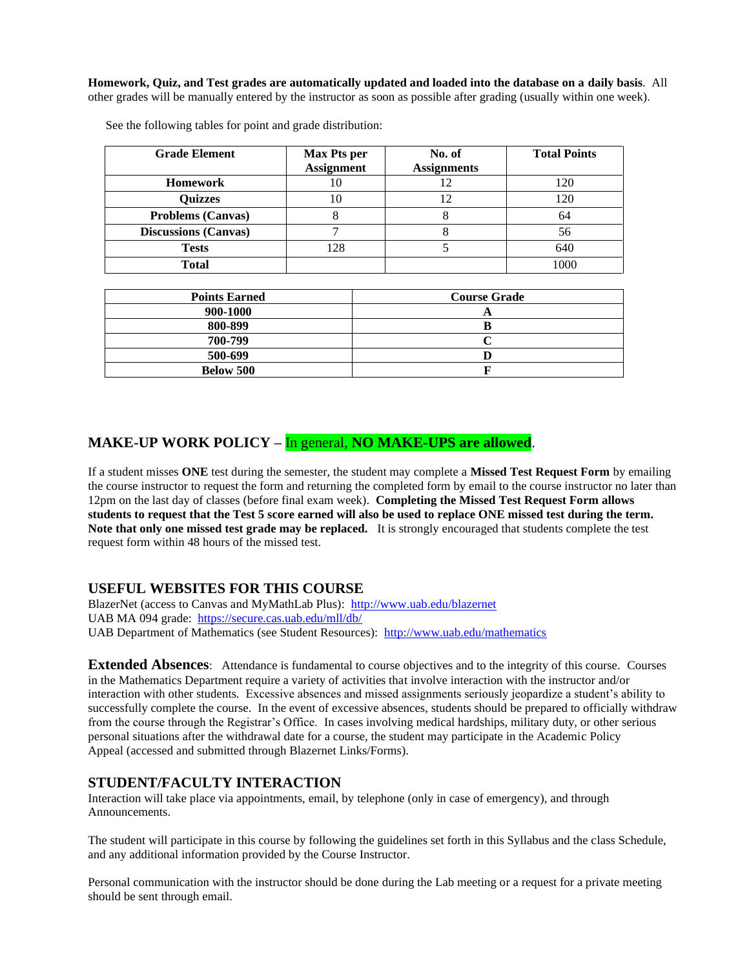**Homework, Quiz, and Test grades are automatically updated and loaded into the database on a daily basis**. All other grades will be manually entered by the instructor as soon as possible after grading (usually within one week).

| <b>Grade Element</b>        | <b>Max Pts per</b><br><b>Assignment</b> | No. of<br><b>Assignments</b> | <b>Total Points</b> |
|-----------------------------|-----------------------------------------|------------------------------|---------------------|
| <b>Homework</b>             |                                         |                              | 120                 |
| <b>Quizzes</b>              |                                         |                              | 120                 |
| <b>Problems (Canvas)</b>    |                                         |                              | 64                  |
| <b>Discussions (Canvas)</b> |                                         |                              | 56                  |
| <b>Tests</b>                | 128                                     |                              | 640                 |
| <b>Total</b>                |                                         |                              | 1000                |

See the following tables for point and grade distribution:

| <b>Points Earned</b> | <b>Course Grade</b> |  |
|----------------------|---------------------|--|
| 900-1000             |                     |  |
| 800-899              |                     |  |
| 700-799              |                     |  |
| 500-699              |                     |  |
| Below 500            |                     |  |

# **MAKE-UP WORK POLICY –** In general, **NO MAKE-UPS are allowed**.

If a student misses **ONE** test during the semester, the student may complete a **Missed Test Request Form** by emailing the course instructor to request the form and returning the completed form by email to the course instructor no later than 12pm on the last day of classes (before final exam week). **Completing the Missed Test Request Form allows students to request that the Test 5 score earned will also be used to replace ONE missed test during the term. Note that only one missed test grade may be replaced.** It is strongly encouraged that students complete the test request form within 48 hours of the missed test.

### **USEFUL WEBSITES FOR THIS COURSE**

BlazerNet (access to Canvas and MyMathLab Plus): <http://www.uab.edu/blazernet> UAB MA 094 grade:<https://secure.cas.uab.edu/mll/db/> UAB Department of Mathematics (see Student Resources): <http://www.uab.edu/mathematics>

**Extended Absences**: Attendance is fundamental to course objectives and to the integrity of this course. Courses in the Mathematics Department require a variety of activities that involve interaction with the instructor and/or interaction with other students. Excessive absences and missed assignments seriously jeopardize a student's ability to successfully complete the course. In the event of excessive absences, students should be prepared to officially withdraw from the course through the Registrar's Office. In cases involving medical hardships, military duty, or other serious personal situations after the withdrawal date for a course, the student may participate in the Academic Policy Appeal (accessed and submitted through Blazernet Links/Forms).

### **STUDENT/FACULTY INTERACTION**

Interaction will take place via appointments, email, by telephone (only in case of emergency), and through Announcements.

The student will participate in this course by following the guidelines set forth in this Syllabus and the class Schedule, and any additional information provided by the Course Instructor.

Personal communication with the instructor should be done during the Lab meeting or a request for a private meeting should be sent through email.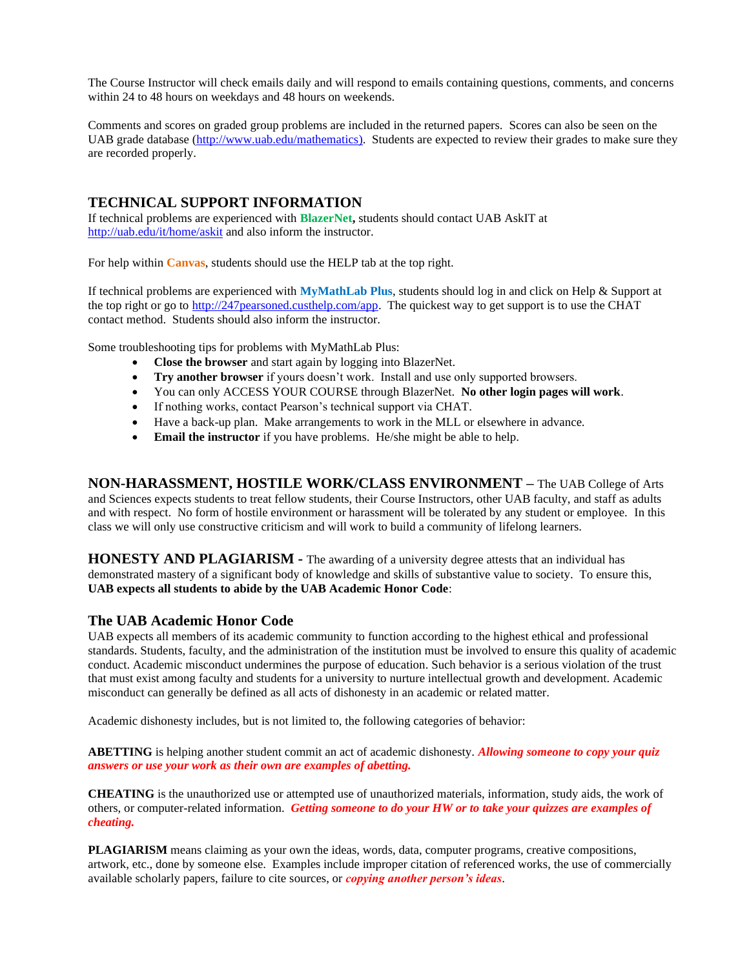The Course Instructor will check emails daily and will respond to emails containing questions, comments, and concerns within 24 to 48 hours on weekdays and 48 hours on weekends.

Comments and scores on graded group problems are included in the returned papers. Scores can also be seen on the UAB grade database [\(http://www.uab.edu/mathematics\)](http://www.uab.edu/mathematics). Students are expected to review their grades to make sure they are recorded properly.

# **TECHNICAL SUPPORT INFORMATION**

If technical problems are experienced with **BlazerNet,** students should contact UAB AskIT at <http://uab.edu/it/home/askit> and also inform the instructor.

For help within **Canvas**, students should use the HELP tab at the top right.

If technical problems are experienced with **MyMathLab Plus**, students should log in and click on Help & Support at the top right or go to [http://247pearsoned.custhelp.com/app.](http://247pearsoned.custhelp.com/app) The quickest way to get support is to use the CHAT contact method. Students should also inform the instructor.

Some troubleshooting tips for problems with MyMathLab Plus:

- **Close the browser** and start again by logging into BlazerNet.
- **Try another browser** if yours doesn't work. Install and use only supported browsers.
- You can only ACCESS YOUR COURSE through BlazerNet. **No other login pages will work**.
- If nothing works, contact Pearson's technical support via CHAT.
- Have a back-up plan. Make arrangements to work in the MLL or elsewhere in advance.
- **Email the instructor** if you have problems. He/she might be able to help.

**NON-HARASSMENT, HOSTILE WORK/CLASS ENVIRONMENT –** The UAB College of Arts and Sciences expects students to treat fellow students, their Course Instructors, other UAB faculty, and staff as adults and with respect. No form of hostile environment or harassment will be tolerated by any student or employee. In this class we will only use constructive criticism and will work to build a community of lifelong learners.

**HONESTY AND PLAGIARISM -** The awarding of a university degree attests that an individual has demonstrated mastery of a significant body of knowledge and skills of substantive value to society. To ensure this, **UAB expects all students to abide by the UAB Academic Honor Code**:

### **The UAB Academic Honor Code**

UAB expects all members of its academic community to function according to the highest ethical and professional standards. Students, faculty, and the administration of the institution must be involved to ensure this quality of academic conduct. Academic misconduct undermines the purpose of education. Such behavior is a serious violation of the trust that must exist among faculty and students for a university to nurture intellectual growth and development. Academic misconduct can generally be defined as all acts of dishonesty in an academic or related matter.

Academic dishonesty includes, but is not limited to, the following categories of behavior:

**ABETTING** is helping another student commit an act of academic dishonesty. *Allowing someone to copy your quiz answers or use your work as their own are examples of abetting.*

**CHEATING** is the unauthorized use or attempted use of unauthorized materials, information, study aids, the work of others, or computer-related information. *Getting someone to do your HW or to take your quizzes are examples of cheating.*

**PLAGIARISM** means claiming as your own the ideas, words, data, computer programs, creative compositions, artwork, etc., done by someone else. Examples include improper citation of referenced works, the use of commercially available scholarly papers, failure to cite sources, or *copying another person's ideas*.